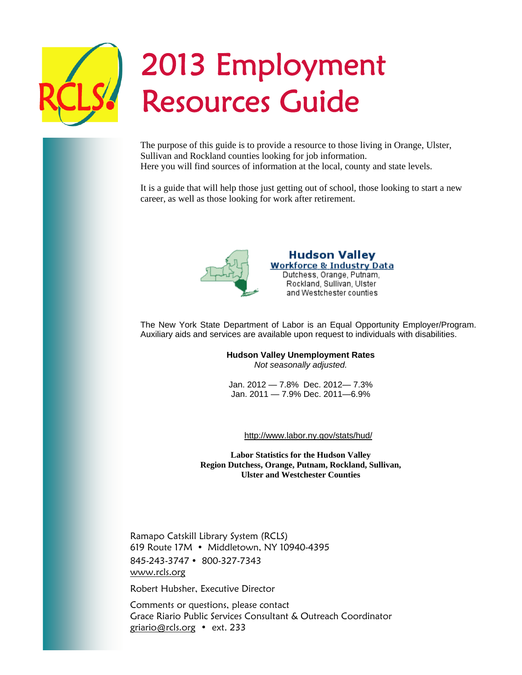

# 2013 Employment Resources Guide

The purpose of this guide is to provide a resource to those living in Orange, Ulster, Sullivan and Rockland counties looking for job information. Here you will find sources of information at the local, county and state levels.

It is a guide that will help those just getting out of school, those looking to start a new career, as well as those looking for work after retirement.



**Hudson Valley Workforce & Industry Data** Dutchess, Orange, Putnam, Rockland, Sullivan, Ulster and Westchester counties

The New York State Department of Labor is an Equal Opportunity Employer/Program. Auxiliary aids and services are available upon request to individuals with disabilities.

> **Hudson Valley Unemployment Rates**  *Not seasonally adjusted.*

Jan. 2012 — 7.8% Dec. 2012— 7.3% Jan. 2011 — 7.9% Dec. 2011—6.9%

http://www.labor.ny.gov/stats/hud/

**Labor Statistics for the Hudson Valley Region Dutchess, Orange, Putnam, Rockland, Sullivan, Ulster and Westchester Counties** 

Ramapo Catskill Library System (RCLS) 619 Route 17M • Middletown, NY 10940-4395 845-243-3747 800-327-7343 www.rcls.org

Robert Hubsher, Executive Director

2013 Employment Resources Guide

Comments or questions, please contact Grace Riario Public Services Consultant & Outreach Coordinator griario@rcls.org • ext. 233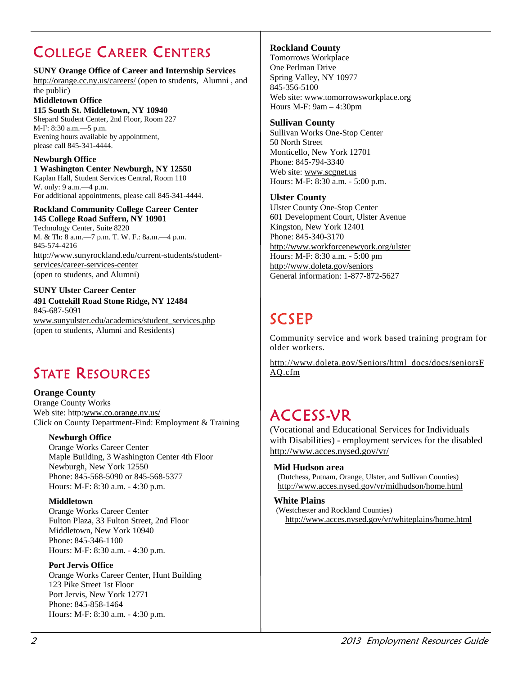# COLLEGE CAREER CENTERS

#### **SUNY Orange Office of Career and Internship Services**

http://orange.cc.ny.us/careers/ (open to students, Alumni , and the public)

#### **Middletown Office**

**115 South St. Middletown, NY 10940**  Shepard Student Center, 2nd Floor, Room 227 M-F: 8:30 a.m.—5 p.m. Evening hours available by appointment, please call 845-341-4444.

#### **Newburgh Office**

**1 Washington Center Newburgh, NY 12550**  Kaplan Hall, Student Services Central, Room 110 W. only: 9 a.m.—4 p.m. For additional appointments, please call 845-341-4444.

#### **Rockland Community College Career Center 145 College Road Suffern, NY 10901**

Technology Center, Suite 8220 M. & Th: 8 a.m.—7 p.m. T. W. F.: 8a.m.—4 p.m. 845-574-4216 http://www.sunyrockland.edu/current-students/studentservices/career-services-center (open to students, and Alumni)

#### **SUNY Ulster Career Center**

**491 Cottekill Road Stone Ridge, NY 12484**  845-687-5091 www.sunyulster.edu/academics/student\_services.php (open to students, Alumni and Residents)

### STATE RESOURCES

#### **Orange County**  Orange County Works Web site: http:www.co.orange.ny.us/ Click on County Department-Find: Employment & Training

#### **Newburgh Office**

Orange Works Career Center Maple Building, 3 Washington Center 4th Floor Newburgh, New York 12550 Phone: 845-568-5090 or 845-568-5377 Hours: M-F: 8:30 a.m. - 4:30 p.m.

#### **Middletown**

Orange Works Career Center Fulton Plaza, 33 Fulton Street, 2nd Floor Middletown, New York 10940 Phone: 845-346-1100 Hours: M-F: 8:30 a.m. - 4:30 p.m.

#### **Port Jervis Office**

Orange Works Career Center, Hunt Building 123 Pike Street 1st Floor Port Jervis, New York 12771 Phone: 845-858-1464 Hours: M-F: 8:30 a.m. - 4:30 p.m.

#### **Rockland County**

Tomorrows Workplace One Perlman Drive Spring Valley, NY 10977 845-356-5100 Web site: www.tomorrowsworkplace.org Hours M-F: 9am – 4:30pm

#### **Sullivan County**

Sullivan Works One-Stop Center 50 North Street Monticello, New York 12701 Phone: 845-794-3340 Web site: www.scgnet.us Hours: M-F: 8:30 a.m. - 5:00 p.m.

#### **Ulster County**

Ulster County One-Stop Center 601 Development Court, Ulster Avenue Kingston, New York 12401 Phone: 845-340-3170 http://www.workforcenewyork.org/ulster Hours: M-F: 8:30 a.m. - 5:00 pm http://www.doleta.gov/seniors General information: 1-877-872-5627

# **SCSEP**

Community service and work based training program for older workers.

http://www.doleta.gov/Seniors/html\_docs/docs/seniorsF AQ.cfm

### ACCESS-VR

(Vocational and Educational Services for Individuals with Disabilities) - employment services for the disabled http://www.acces.nysed.gov/vr/

#### **Mid Hudson area**

(Dutchess, Putnam, Orange, Ulster, and Sullivan Counties) http://www.acces.nysed.gov/vr/midhudson/home.html

#### **White Plains**

(Westchester and Rockland Counties) http://www.acces.nysed.gov/vr/whiteplains/home.html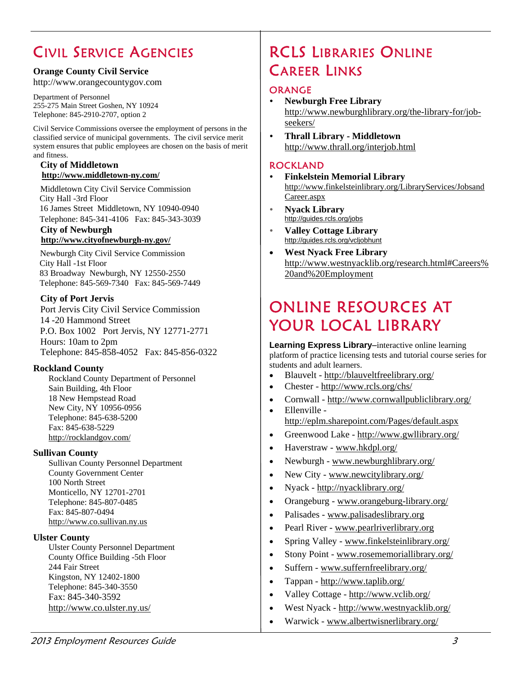# CIVIL SERVICE AGENCIES

#### **Orange County Civil Service**

http://www.orangecountygov.com

Department of Personnel 255-275 Main Street Goshen, NY 10924 Telephone: 845-2910-2707, option 2

Civil Service Commissions oversee the employment of persons in the classified service of municipal governments. The civil service merit system ensures that public employees are chosen on the basis of merit and fitness.

#### **City of Middletown http://www.middletown-ny.com/**

 Middletown City Civil Service Commission City Hall -3rd Floor 16 James Street Middletown, NY 10940-0940 Telephone: 845-341-4106 Fax: 845-343-3039

#### **City of Newburgh http://www.cityofnewburgh-ny.gov/**

 Newburgh City Civil Service Commission City Hall -1st Floor 83 Broadway Newburgh, NY 12550-2550 Telephone: 845-569-7340 Fax: 845-569-7449

#### **City of Port Jervis**

 Port Jervis City Civil Service Commission 14 -20 Hammond Street P.O. Box 1002 Port Jervis, NY 12771-2771 Hours: 10am to 2pm Telephone: 845-858-4052 Fax: 845-856-0322

#### **Rockland County**

Rockland County Department of Personnel Sain Building, 4th Floor 18 New Hempstead Road New City, NY 10956-0956 Telephone: 845-638-5200 Fax: 845-638-5229 http://rocklandgov.com/

#### **Sullivan County**

Sullivan County Personnel Department County Government Center 100 North Street Monticello, NY 12701-2701 Telephone: 845-807-0485 Fax: 845-807-0494 http://www.co.sullivan.ny.us

#### **Ulster County**

Ulster County Personnel Department County Office Building -5th Floor 244 Fair Street Kingston, NY 12402-1800 Telephone: 845-340-3550 Fax: 845-340-3592 http://www.co.ulster.ny.us/

### RCLS LIBRARIES ONLINE CAREER LINKS

#### **ORANGE**

- **Newburgh Free Library**  http://www.newburghlibrary.org/the-library-for/jobseekers/
- **Thrall Library Middletown** http://www.thrall.org/interjob.html

#### ROCKLAND

- **Finkelstein Memorial Library**  http://www.finkelsteinlibrary.org/LibraryServices/Jobsand Career.aspx
- **Nyack Library**  http://guides.rcls.org/jobs
- **Valley Cottage Library**  http://guides.rcls.org/vcljobhunt
- **West Nyack Free Library**  http://www.westnyacklib.org/research.html#Careers% 20and%20Employment

### ONLINE RESOURCES AT YOUR LOCAL LIBRARY

**Learning Express Library–**interactive online learning platform of practice licensing tests and tutorial course series for students and adult learners.

- Blauvelt http://blauveltfreelibrary.org/
- Chester http://www.rcls.org/chs/
- Cornwall http://www.cornwallpubliclibrary.org/
- Ellenville http://eplm.sharepoint.com/Pages/default.aspx
- Greenwood Lake http://www.gwllibrary.org/
- Haverstraw www.hkdpl.org/
- Newburgh www.newburghlibrary.org/
- New City www.newcitylibrary.org/
- Nyack http://nyacklibrary.org/
- Orangeburg www.orangeburg-library.org/
- Palisades www.palisadeslibrary.org
- Pearl River www.pearlriverlibrary.org
- Spring Valley www.finkelsteinlibrary.org/
- Stony Point www.rosememoriallibrary.org/
- Suffern www.suffernfreelibrary.org/
- Tappan http://www.taplib.org/
- Valley Cottage http://www.vclib.org/
- West Nyack http://www.westnyacklib.org/
- Warwick www.albertwisnerlibrary.org/